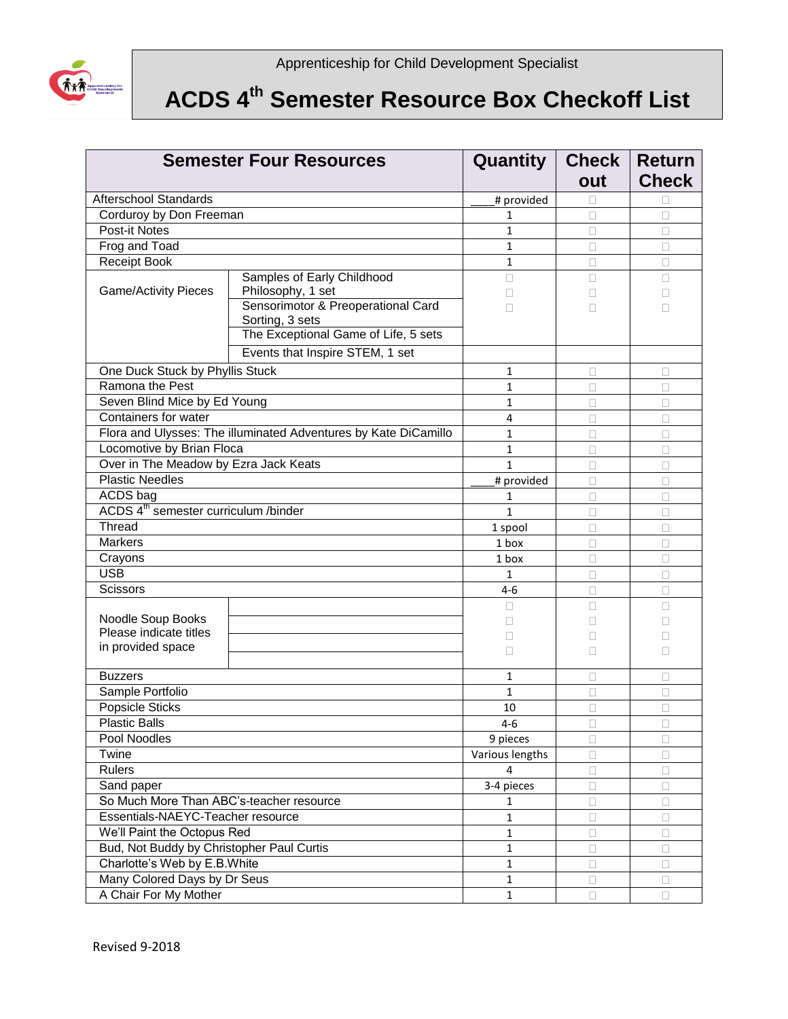

## **ACDS 4 th Semester Resource Box Checkoff List**

| <b>Semester Four Resources</b>                   |                                                                 | Quantity          | Check  <br>out | <b>Return</b><br><b>Check</b> |
|--------------------------------------------------|-----------------------------------------------------------------|-------------------|----------------|-------------------------------|
| <b>Afterschool Standards</b>                     |                                                                 | # provided        |                |                               |
| Corduroy by Don Freeman                          |                                                                 |                   |                | П                             |
| Post-it Notes                                    |                                                                 | 1<br>$\mathbf{1}$ | П              | □                             |
|                                                  |                                                                 | $\mathbf{1}$      |                |                               |
| Frog and Toad<br><b>Receipt Book</b>             |                                                                 | $\mathbf{1}$      | □              | □                             |
|                                                  | Samples of Early Childhood                                      | П                 | □              | □                             |
| <b>Game/Activity Pieces</b>                      | Philosophy, 1 set                                               | Ш                 | П<br>Ш         | П                             |
|                                                  | Sensorimotor & Preoperational Card<br>Sorting, 3 sets           | П                 | П              |                               |
|                                                  | The Exceptional Game of Life, 5 sets                            |                   |                |                               |
|                                                  | Events that Inspire STEM, 1 set                                 |                   |                |                               |
| One Duck Stuck by Phyllis Stuck                  |                                                                 | 1                 | П              | П                             |
| Ramona the Pest                                  |                                                                 | 1                 | П              | □                             |
| Seven Blind Mice by Ed Young                     |                                                                 | $\mathbf{1}$      | П              | □                             |
| Containers for water                             |                                                                 | 4                 | П              | $\Box$                        |
|                                                  | Flora and Ulysses: The illuminated Adventures by Kate DiCamillo | 1                 | П              | $\Box$                        |
| Locomotive by Brian Floca                        |                                                                 | 1                 | П              | $\Box$                        |
| Over in The Meadow by Ezra Jack Keats            |                                                                 | $\mathbf{1}$      | П              | $\Box$                        |
| <b>Plastic Needles</b>                           |                                                                 | # provided        | $\Box$         | □                             |
| ACDS bag                                         |                                                                 | 1                 | П              | □                             |
| ACDS 4 <sup>th</sup> semester curriculum /binder |                                                                 | $\mathbf{1}$      | П              | □                             |
| <b>Thread</b>                                    |                                                                 | 1 spool           | П              | П                             |
| <b>Markers</b>                                   |                                                                 |                   | П              | п                             |
| Crayons                                          |                                                                 | 1 box             | П              | п                             |
| <b>USB</b>                                       |                                                                 | 1                 | П              | □                             |
| <b>Scissors</b>                                  |                                                                 | 4-6               | П              | П                             |
|                                                  |                                                                 | П                 | П              | П                             |
| Noodle Soup Books                                |                                                                 | П                 | Ш              |                               |
| Please indicate titles                           |                                                                 | П                 | П              |                               |
| in provided space                                |                                                                 | П                 | П              | П                             |
| <b>Buzzers</b>                                   |                                                                 | 1                 | П              | П                             |
| Sample Portfolio                                 |                                                                 | $\mathbf{1}$      | $\Box$         | □                             |
| <b>Popsicle Sticks</b>                           |                                                                 | 10                | $\Box$         | Ω                             |
| <b>Plastic Balls</b>                             |                                                                 | $4 - 6$           | $\Box$         | $\Box$                        |
| Pool Noodles                                     |                                                                 | 9 pieces          | $\Box$         | □                             |
| Twine                                            |                                                                 | Various lengths   | $\Box$         | $\Box$                        |
| Rulers                                           |                                                                 | 4                 | $\Box$         | □                             |
| Sand paper                                       |                                                                 | 3-4 pieces        | П              | □                             |
| So Much More Than ABC's-teacher resource         |                                                                 | 1                 | П              | □                             |
| Essentials-NAEYC-Teacher resource                |                                                                 | 1                 | П              | □                             |
| We'll Paint the Octopus Red                      |                                                                 | $\mathbf{1}$      | $\Box$         | 0                             |
| Bud, Not Buddy by Christopher Paul Curtis        |                                                                 | $\mathbf{1}$      | $\Box$         | $\Box$                        |
| Charlotte's Web by E.B.White                     |                                                                 | $\mathbf{1}$      | □              | $\Box$                        |
| Many Colored Days by Dr Seus                     |                                                                 | $\mathbf{1}$      | □              | □                             |
| A Chair For My Mother                            |                                                                 | $\mathbf{1}$      | $\Box$         | 0                             |